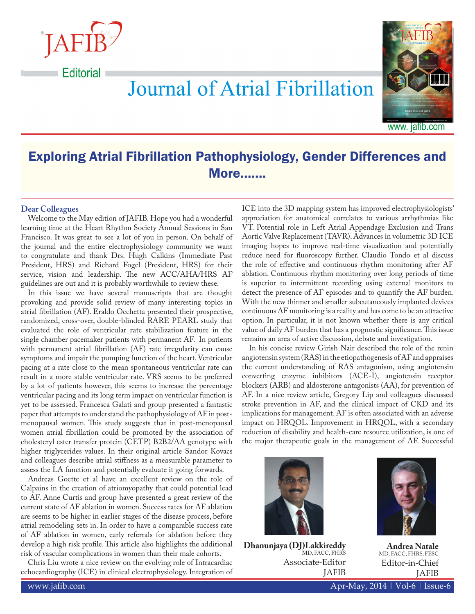

**Editorial** 

**Journal of Atrial Fibrillation** 



www. jafib.com

## Exploring Atrial Fibrillation Pathophysiology, Gender Differences and More…….

## **Dear Colleagues**

Welcome to the May edition of JAFIB. Hope you had a wonderful learning time at the Heart Rhythm Society Annual Sessions in San Francisco. It was great to see a lot of you in person. On behalf of the journal and the entire electrophysiology community we want to congratulate and thank Drs. Hugh Calkins (Immediate Past President, HRS) and Richard Fogel (President, HRS) for their service, vision and leadership. The new ACC/AHA/HRS AF guidelines are out and it is probably worthwhile to review these.

In this issue we have several manuscripts that are thought provoking and provide solid review of many interesting topics in atrial fibrillation (AF). Eraldo Occhetta presented their prospective, randomized, cross-over, double-blinded RARE PEARL study that evaluated the role of ventricular rate stabilization feature in the single chamber pacemaker patients with permanent AF. In patients with permanent atrial fibrillation (AF) rate irregularity can cause symptoms and impair the pumping function of the heart. Ventricular pacing at a rate close to the mean spontaneous ventricular rate can result in a more stable ventricular rate. VRS seems to be preferred by a lot of patients however, this seems to increase the percentage ventricular pacing and its long term impact on ventricular function is yet to be assessed. Francesca Galati and group presented a fantastic paper that attempts to understand the pathophysiology of AF in postmenopausal women. This study suggests that in post-menopausal women atrial fibrillation could be promoted by the association of cholesteryl ester transfer protein (CETP) B2B2/AA genotype with higher triglycerides values. In their original article Sandor Kovacs and colleagues describe atrial stiffness as a measurable parameter to assess the LA function and potentially evaluate it going forwards.

Andreas Goette et al have an excellent review on the role of Calpains in the creation of atriomyopathy that could potential lead to AF. Anne Curtis and group have presented a great review of the current state of AF ablation in women. Success rates for AF ablation are seems to be higher in earlier stages of the disease process, before atrial remodeling sets in. In order to have a comparable success rate of AF ablation in women, early referrals for ablation before they develop a high risk profile. This article also highlights the additional risk of vascular complications in women than their male cohorts.

Chris Liu wrote a nice review on the evolving role of Intracardiac echocardiography (ICE) in clinical electrophysiology. Integration of ICE into the 3D mapping system has improved electrophysiologists' appreciation for anatomical correlates to various arrhythmias like VT. Potential role in Left Atrial Appendage Exclusion and Trans Aortic Valve Replacement (TAVR). Advances in volumetric 3D ICE imaging hopes to improve real-time visualization and potentially reduce need for fluoroscopy further. Claudio Tondo et al discuss the role of effective and continuous rhythm monitoring after AF ablation. Continuous rhythm monitoring over long periods of time is superior to intermittent recording using external monitors to detect the presence of AF episodes and to quantify the AF burden. With the new thinner and smaller subcutaneously implanted devices continuous AF monitoring is a reality and has come to be an attractive option. In particular, it is not known whether there is any critical value of daily AF burden that has a prognostic significance. This issue remains an area of active discussion, debate and investigation.

In his concise review Girish Nair described the role of the renin angiotensin system (RAS) in the etiopathogenesis of AF and appraises the current understanding of RAS antagonism, using angiotensin converting enzyme inhibitors (ACE-I), angiotensin receptor blockers (ARB) and aldosterone antagonists (AA), for prevention of AF. In a nice review article, Gregory Lip and colleagues discussed stroke prevention in AF, and the clinical impact of CKD and its implications for management. AF is often associated with an adverse impact on HRQOL. Improvement in HRQOL, with a secondary reduction of disability and health-care resource utilization, is one of the major therapeutic goals in the management of AF. Successful



**Dhanunjaya (DJ)Lakkireddy** MD, FACC, FHRS Associate-Editor JAFIB



**Andrea Natale** MD, FACC, FHRS, FESC Editor-in-Chief JAFIB